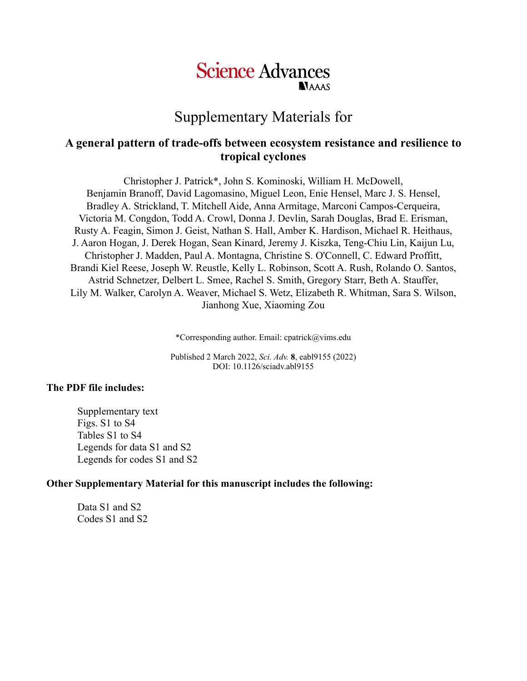# **Science Advances NAAAS**

Supplementary Materials for

# **A general pattern of trade-offs between ecosystem resistance and resilience to tropical cyclones**

Christopher J. Patrick\*, John S. Kominoski, William H. McDowell, Benjamin Branoff, David Lagomasino, Miguel Leon, Enie Hensel, Marc J. S. Hensel, Bradley A. Strickland, T. Mitchell Aide, Anna Armitage, Marconi Campos-Cerqueira, Victoria M. Congdon, Todd A. Crowl, Donna J. Devlin, Sarah Douglas, Brad E. Erisman, Rusty A. Feagin, Simon J. Geist, Nathan S. Hall, Amber K. Hardison, Michael R. Heithaus, J. Aaron Hogan, J. Derek Hogan, Sean Kinard, Jeremy J. Kiszka, Teng-Chiu Lin, Kaijun Lu, Christopher J. Madden, Paul A. Montagna, Christine S. O'Connell, C. Edward Proffitt, Brandi Kiel Reese, Joseph W. Reustle, Kelly L. Robinson, Scott A. Rush, Rolando O. Santos, Astrid Schnetzer, Delbert L. Smee, Rachel S. Smith, Gregory Starr, Beth A. Stauffer, Lily M. Walker, Carolyn A. Weaver, Michael S. Wetz, Elizabeth R. Whitman, Sara S. Wilson, Jianhong Xue, Xiaoming Zou

\*Corresponding author. Email: cpatrick@vims.edu

Published 2 March 2022, *Sci. Adv.* **8**, eabl9155 (2022) DOI: 10.1126/sciadv.abl9155

### **The PDF file includes:**

Supplementary text Figs. S1 to S4 Tables S1 to S4 Legends for data S1 and S2 Legends for codes S1 and S2

### **Other Supplementary Material for this manuscript includes the following:**

Data S1 and S2 Codes S1 and S2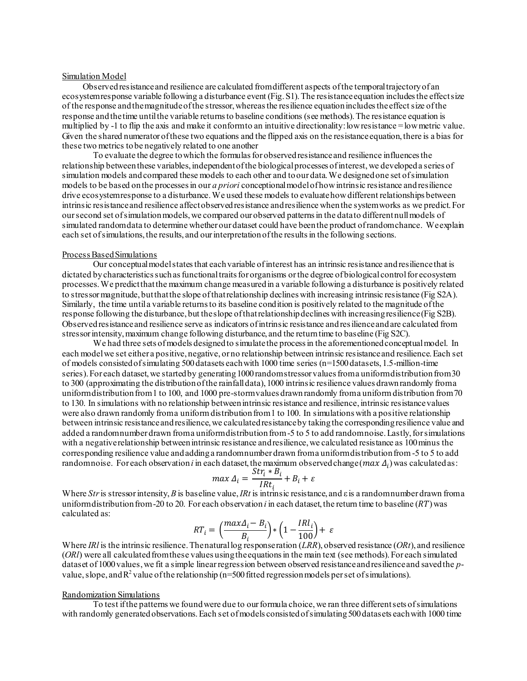#### Simulation Model

Observed resistance and resilience are calculated from different aspects of the temporal trajectory of an ecosystem response variable following a disturbance event (Fig. S1). The resistance equation includes the effect size of the response and the magnitude of the stressor, whereas the resilience equation includes the effect size of the response and the time until the variable returns to baseline conditions (see methods). The resistance equation is multiplied by -1 to flip the axis and make it conform to an intuitive directionality: low resistance = low metric value. Given the shared numerator of these two equations and the flipped axis on the resistance equation, there is a bias for these two metrics to be negatively related to one another

To evaluate the degree to which the formulas for observed resistance and resilience influences the relationship between these variables, independent of the biological processes of interest, we developed a series of simulation models and compared these models to each other and to our data. We designed one set of simulation models to be based on the processes in our *a priori* conceptional model of how intrinsic resistance and resilience drive ecosystem response to a disturbance. We used these models to evaluate how different relationships between intrinsic resistance and resilience affect observed resistance and resilience when the system works as we predict. For our second set of simulation models, we compared our observed patterns in the data to different null models of simulated random data to determine whether our dataset could have been the product of random chance. We explain each set of simulations, the results, and our interpretation of the results in the following sections.

#### Process Based Simulations

Our conceptual model states that each variable of interest has an intrinsic resistance and resilience that is dictated by characteristics such as functional traits for organisms or the degree of biological control for ecosystem processes. We predict that the maximum change measured in a variable following a disturbance is positively related to stressor magnitude, but that the slope of that relationship declines with increasing intrinsic resistance (Fig S2A). Similarly, the time until a variable returns to its baseline condition is positively related to the magnitude of the response following the disturbance, but the slope of that relationship declines with increasing resilience (Fig S2B). Observed resistance and resilience serve as indicators of intrinsic resistance and resilience and are calculated from stressor intensity, maximum change following disturbance, and the return time to baseline (Fig S2C).

We had three sets of models designed to simulate the process in the aforementioned conceptual model. In each model we set either a positive, negative, or no relationship between intrinsic resistance and resilience. Each set of models consisted of simulating 500 datasets each with 1000 time series (n=1500 datasets, 1.5-million-time series). For each dataset, we started by generating 1000 random stressor values from a uniform distribution from 30 to 300 (approximating the distribution of the rainfall data), 1000 intrinsic resilience values drawn randomly from a uniform distribution from 1 to 100, and 1000 pre-storm values drawn randomly from a uniform distribution from 70 to 130. In simulations with no relationship between intrinsic resistance and resilience, intrinsic resistance values were also drawn randomly from a uniform distribution from 1 to 100. In simulations with a positive relationship between intrinsic resistance and resilience, we calculated resistance by taking the corresponding resilience value and added a random number drawn from a uniform distribution from -5 to 5 to add random noise. Lastly, for simulations with a negative relationship between intrinsic resistance and resilience, we calculated resistance as 100 minus the corresponding resilience value and adding a random number drawn from a uniform distribution from -5 to 5 to add random noise. For each observation *i* in each dataset, the maximum observed change  $(max \Delta_i)$  was calculated as:

$$
max \Delta_i = \frac{Str_i * B_i}{IRt_i} + B_i + \varepsilon
$$

Where *Str*is stressor intensity, *B* is baseline value, *IRt* is intrinsic resistance, and ε is a random number drawn from a uniform distribution from -20 to 20. For each observation *i* in each dataset, the return time to baseline (RT) was calculated as:

$$
RT_i = \left(\frac{max\Delta_i - B_i}{B_i}\right) * \left(1 - \frac{IRl_i}{100}\right) + \varepsilon
$$

Where *IRl* is the intrinsic resilience. The natural log response ration (*LRR*), observed resistance (*ORt*), and resilience (*ORl*) were all calculated from these values using the equations in the main text (see methods). For each simulated dataset of 1000 values, we fit a simple linear regression between observed resistance and resilience and saved the *p*value, slope, and  $R^2$  value of the relationship (n=500 fitted regression models per set of simulations).

#### Randomization Simulations

To test if the patterns we found were due to our formula choice, we ran three different sets of simulations with randomly generated observations. Each set of models consisted of simulating 500 datasets each with 1000 time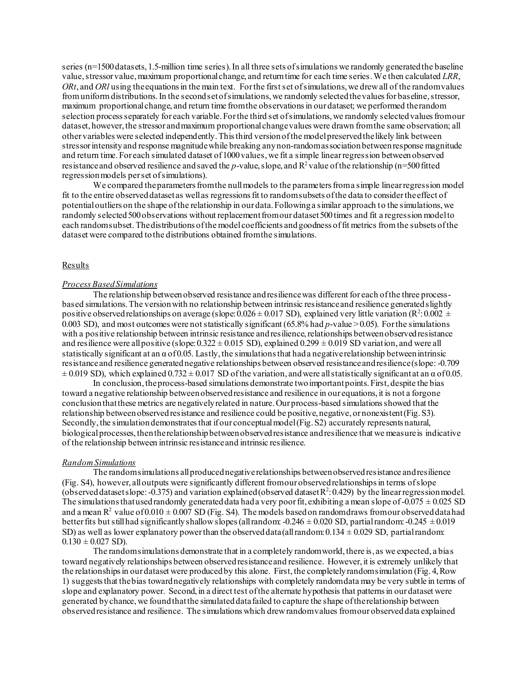series (n=1500 datasets, 1.5-million time series). In all three sets of simulations we randomly generated the baseline value, stressor value, maximum proportional change, and return time for each time series. We then calculated *LRR*, *ORt*, and *ORl* using the equations in the main text. For the first set of simulations, we drew all of the random values from uniform distributions. In the second set of simulations, we randomly selected the values for baseline, stressor, maximum proportional change, and return time from the observations in our dataset; we performed the random selection process separately for each variable. For the third set of simulations, we randomly selected values from our dataset, however, the stressor and maximum proportional change values were drawn from the same observation; all other variables were selected independently. This third version of the model preserved the likely link between stressor intensity and response magnitude while breaking any non-random association between response magnitude and return time. For each simulated dataset of 1000 values, we fit a simple linear regression between observed resistance and observed resilience and saved the *p*-value, slope, and  $R^2$  value of the relationship (n=500 fitted regression models per set of simulations).

We compared the parameters from the null models to the parameters from a simple linear regression model fit to the entire observed dataset as well as regressions fit to random subsets of the data to consider the effect of potential outliers on the shape of the relationship in our data. Following a similar approach to the simulations, we randomly selected 500 observations without replacement from our dataset 500 times and fit a regression model to each random subset. The distributions of the model coefficients and goodness of fit metrics from the subsets of the dataset were compared to the distributions obtained from the simulations.

#### Results

#### *Process Based Simulations*

The relationship between observed resistance and resilience was different for each of the three processbased simulations. The version with no relationship between intrinsic resistance and resilience generated slightly positive observed relationships on average (slope:  $0.026 \pm 0.017$  SD), explained very little variation (R<sup>2</sup>: 0.002  $\pm$ 0.003 SD), and most outcomes were not statistically significant (65.8% had *p*-value > 0.05). For the simulations with a positive relationship between intrinsic resistance and resilience, relationships between observed resistance and resilience were all positive (slope:  $0.322 \pm 0.015$  SD), explained  $0.299 \pm 0.019$  SD variation, and were all statistically significant at an  $\alpha$  of 0.05. Lastly, the simulations that had a negative relationship between intrinsic resistance and resilience generated negative relationships between observed resistance and resilience (slope: -0.709  $\pm$  0.019 SD), which explained 0.732  $\pm$  0.017 SD of the variation, and were all statistically significant at an  $\alpha$  of 0.05.

In conclusion, the process-based simulations demonstrate two important points. First, despite the bias toward a negative relationship between observed resistance and resilience in our equations, it is not a forgone conclusion that these metrics are negatively related in nature. Our process-based simulations showed that the relationship between observed resistance and resilience could be positive, negative, or nonexistent (Fig. S3). Secondly, the simulation demonstrates that if our conceptual model (Fig. S2) accurately represents natural, biological processes, then the relationship between observed resistance and resilience that we measure is indicative of the relationship between intrinsic resistance and intrinsic resilience.

#### *Random Simulations*

The random simulations all produced negative relationships between observed resistance and resilience (Fig. S4), however, all outputs were significantly different from our observed relationships in terms of slope (observed dataset slope: -0.375) and variation explained (observed dataset  $R^2$ : 0.429) by the linear regression model. The simulations that used randomly generated data had a very poor fit, exhibiting a mean slope of -0.075  $\pm$  0.025 SD and a mean  $R^2$  value of  $0.010 \pm 0.007$  SD (Fig. S4). The models based on random draws from our observed datahad better fits but still had significantly shallow slopes (all random:  $-0.246 \pm 0.020$  SD, partial random:  $-0.245 \pm 0.019$ SD) as well as lower explanatory power than the observed data (all random:  $0.134 \pm 0.029$  SD, partial random:  $0.130 \pm 0.027$  SD).

The random simulations demonstrate that in a completely random world, there is, as we expected, a bias toward negatively relationships between observed resistance and resilience. However, it is extremely unlikely that the relationships in our dataset were produced by this alone. First, the completely random simulation (Fig. 4, Row 1) suggests that the bias toward negatively relationships with completely random data may be very subtle in terms of slope and explanatory power. Second, in a direct test of the alternate hypothesis that patterns in our dataset were generated by chance, we found that the simulated data failed to capture the shape of the relationship between observed resistance and resilience. The simulations which drew random values from our observed data explained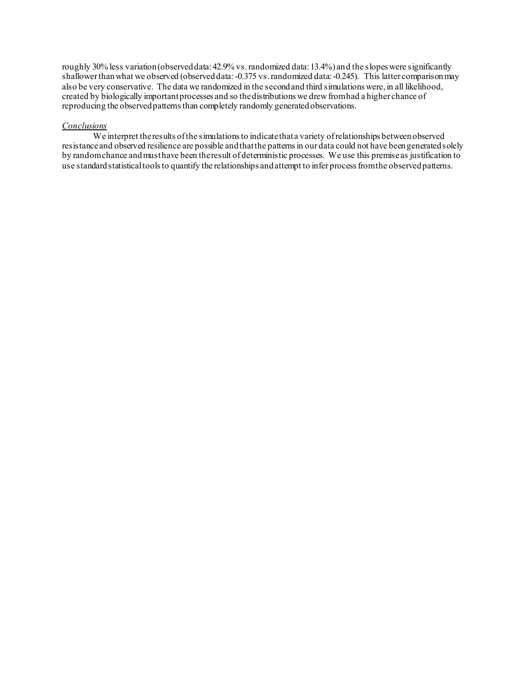roughly 30% less variation (observed data: 42.9% vs. randomized data: 13.4%) and the slopes were significantly shallower than what we observed (observed data: -0.375 vs. randomized data: -0.245). This latter comparison may also be very conservative. The data we randomized in the second and third simulations were, in all likelihood, created by biologically important processes and so the distributions we drew from had a higher chance of reproducing the observed patterns than completely randomly generated observations.

#### *Conclusions*

We interpret the results of the simulations to indicate that a variety of relationships between observed resistance and observed resilience are possible and that the patterns in our data could not have been generated solely by random chance and must have been the result of deterministic processes. We use this premise as justification to use standard statistical tools to quantify the relationships and attempt to infer process from the observed patterns.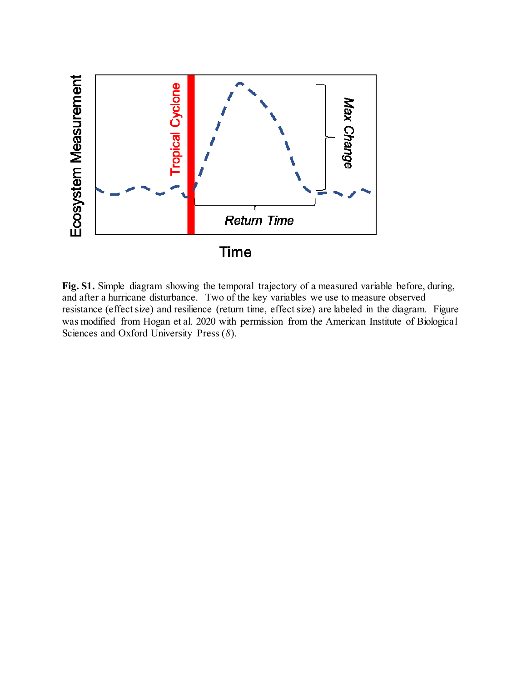

Fig. S1. Simple diagram showing the temporal trajectory of a measured variable before, during, and after a hurricane disturbance. Two of the key variables we use to measure observed resistance (effect size) and resilience (return time, effect size) are labeled in the diagram. Figure was modified from Hogan et al. 2020 with permission from the American Institute of Biological Sciences and Oxford University Press (*8*).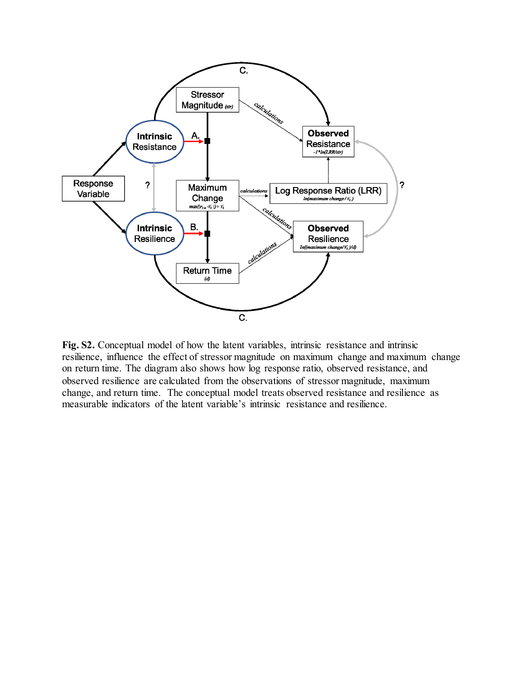

**Fig. S2.** Conceptual model of how the latent variables, intrinsic resistance and intrinsic resilience, influence the effect of stressor magnitude on maximum change and maximum change on return time. The diagram also shows how log response ratio, observed resistance, and observed resilience are calculated from the observations of stressor magnitude, maximum change, and return time. The conceptual model treats observed resistance and resilience as measurable indicators of the latent variable's intrinsic resistance and resilience.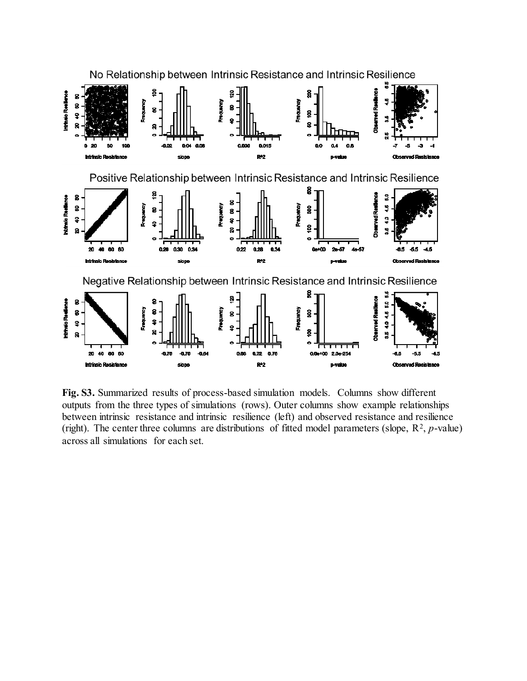

**Fig. S3.** Summarized results of process-based simulation models. Columns show different outputs from the three types of simulations (rows). Outer columns show example relationships between intrinsic resistance and intrinsic resilience (left) and observed resistance and resilience (right). The center three columns are distributions of fitted model parameters (slope,  $\mathbb{R}^2$ , p-value) across all simulations for each set.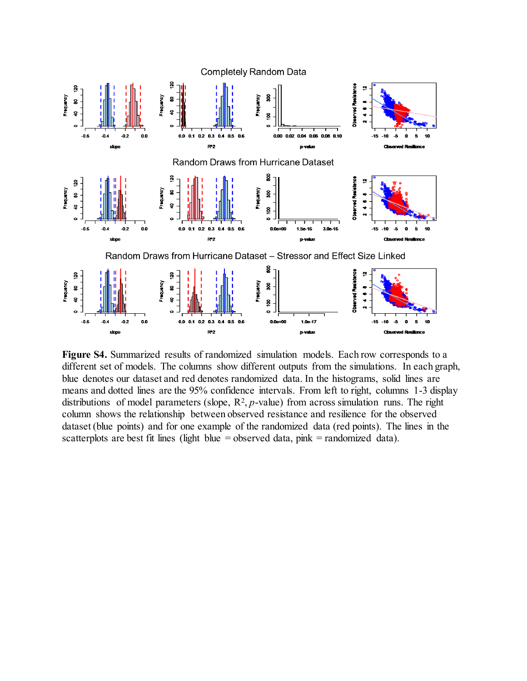

**Figure S4.** Summarized results of randomized simulation models. Each row corresponds to a different set of models. The columns show different outputs from the simulations. In each graph, blue denotes our dataset and red denotes randomized data. In the histograms, solid lines are means and dotted lines are the 95% confidence intervals. From left to right, columns 1-3 display distributions of model parameters (slope,  $R^2$ ,  $p$ -value) from across simulation runs. The right column shows the relationship between observed resistance and resilience for the observed dataset (blue points) and for one example of the randomized data (red points). The lines in the scatterplots are best fit lines (light blue = observed data, pink = randomized data).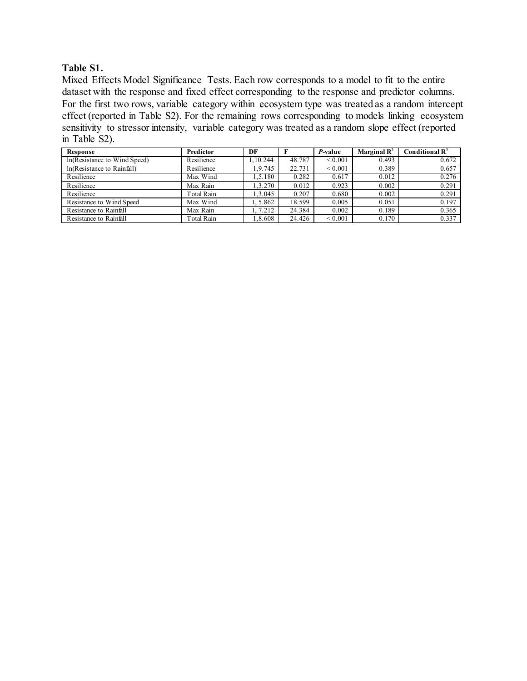### **Table S1.**

Mixed Effects Model Significance Tests. Each row corresponds to a model to fit to the entire dataset with the response and fixed effect corresponding to the response and predictor columns. For the first two rows, variable category within ecosystem type was treated as a random intercept effect (reported in Table S2). For the remaining rows corresponding to models linking ecosystem sensitivity to stressor intensity, variable category was treated as a random slope effect (reported in Table S2).

| Response                     | Predictor  | DF       |        | P-value      | Marginal $\mathbf{R}^2$ | Conditional $\mathbf{R}^2$ |
|------------------------------|------------|----------|--------|--------------|-------------------------|----------------------------|
| In(Resistance to Wind Speed) | Resilience | .10.244  | 48.787 | ${}_{0.001}$ | 0.493                   | 0.672                      |
| In(Resistance to Rainfall)   | Resilience | 1.9.745  | 22.731 | ${}_{0.001}$ | 0.389                   | 0.657                      |
| Resilience                   | Max Wind   | .5.180   | 0.282  | 0.617        | 0.012                   | 0.276                      |
| Resilience                   | Max Rain   | 1.3.270  | 0.012  | 0.923        | 0.002                   | 0.291                      |
| Resilience                   | Total Rain | .3.045   | 0.207  | 0.680        | 0.002                   | 0.291                      |
| Resistance to Wind Speed     | Max Wind   | l. 5.862 | 18.599 | 0.005        | 0.051                   | 0.197                      |
| Resistance to Rainfall       | Max Rain   | 1, 7.212 | 24.384 | 0.002        | 0.189                   | 0.365                      |
| Resistance to Rainfall       | Total Rain | .8.608   | 24.426 | ${}_{0.001}$ | 0.170                   | 0.337                      |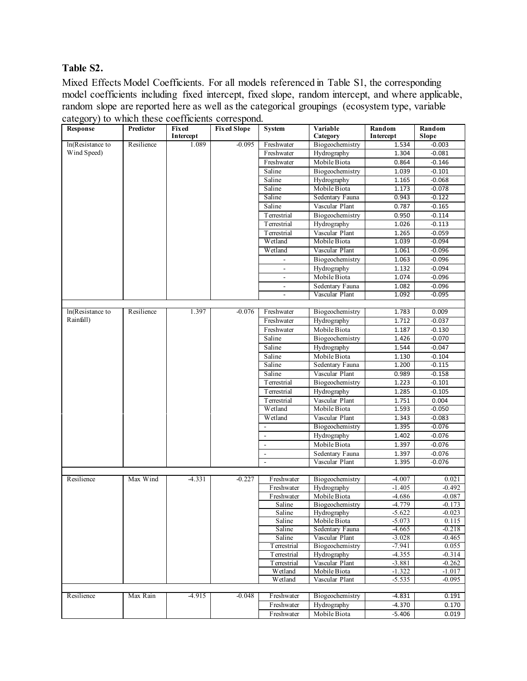## **Table S2.**

Mixed Effects Model Coefficients. For all models referenced in Table S1, the corresponding model coefficients including fixed intercept, fixed slope, random intercept, and where applicable, random slope are reported here as well as the categorical groupings (ecosystem type, variable category) to which these coefficients correspond.

| <b>Response</b>  | Predictor  | <b>Fixed</b><br>Intercept | <b>Fixed Slope</b> | <b>System</b>            | Variable<br>Category              | Random<br>Intercept  | Random<br>Slope   |
|------------------|------------|---------------------------|--------------------|--------------------------|-----------------------------------|----------------------|-------------------|
| In(Resistance to | Resilience | 1.089                     | $-0.095$           | Freshwater               | Biogeochemistry                   | 1.534                | $-0.003$          |
| Wind Speed)      |            |                           |                    | Freshwater               | Hydrography                       | 1.304                | $-0.081$          |
|                  |            |                           |                    | Freshwater               | Mobile Biota                      | 0.864                | $-0.146$          |
|                  |            |                           |                    | Saline                   | Biogeochemistry                   | 1.039                | $-0.101$          |
|                  |            |                           |                    | Saline                   | Hydrography                       | 1.165                | $-0.068$          |
|                  |            |                           |                    | Saline                   | Mobile Biota                      | 1.173                | $-0.078$          |
|                  |            |                           |                    | Saline                   | Sedentary Fauna                   | 0.943                | $-0.122$          |
|                  |            |                           |                    | Saline                   | Vascular Plant                    | 0.787                | -0.165            |
|                  |            |                           |                    | <b>T</b> errestrial      | Biogeochemistry                   | 0.950                | $-0.114$          |
|                  |            |                           |                    | Terrestrial              | Hydrography                       | 1.026                | $-0.113$          |
|                  |            |                           |                    | <b>T</b> errestrial      | Vascular Plant                    | 1.265                | $-0.059$          |
|                  |            |                           |                    | Wetland                  | Mobile Biota                      | 1.039                | $-0.094$          |
|                  |            |                           |                    | Wetland                  | Vascular Plant                    | 1.061                | $-0.096$          |
|                  |            |                           |                    |                          | Biogeochemistry                   | 1.063                | $-0.096$          |
|                  |            |                           |                    | $\blacksquare$           | Hydrography                       | 1.132                | $-0.094$          |
|                  |            |                           |                    | $\overline{\phantom{a}}$ | Mobile Biota                      | 1.074                | $-0.096$          |
|                  |            |                           |                    | $\blacksquare$           | Sedentary Fauna                   | 1.082                | $-0.096$          |
|                  |            |                           |                    |                          | Vascular Plant                    | 1.092                | $-0.095$          |
|                  |            |                           |                    |                          |                                   |                      |                   |
| In(Resistance to | Resilience | 1.397                     | $-0.076$           | Freshwater               | Biogeochemistry                   | 1.783                | 0.009             |
| Rainfall)        |            |                           |                    | Freshwater               | Hydrography                       | 1.712                | $-0.037$          |
|                  |            |                           |                    | Freshwater               | Mobile Biota                      | 1.187                | $-0.130$          |
|                  |            |                           |                    | Saline                   | Biogeochemistry                   | 1.426                | $-0.070$          |
|                  |            |                           |                    | Saline                   | Hydrography                       | 1.544                | $-0.047$          |
|                  |            |                           |                    | Saline                   | Mobile Biota                      | 1.130                | $-0.104$          |
|                  |            |                           |                    | Saline                   | Sedentary Fauna                   | 1.200                | $-0.115$          |
|                  |            |                           |                    | Saline                   | Vascular Plant                    | 0.989                | $-0.158$          |
|                  |            |                           |                    | T errestrial             | Biogeochemistry                   | 1.223                | $-0.101$          |
|                  |            |                           |                    | <b>T</b> errestrial      | Hydrography                       | 1.285                | $-0.105$          |
|                  |            |                           |                    | <b>T</b> errestrial      | Vascular Plant                    | 1.751                | 0.004             |
|                  |            |                           |                    | Wetland                  | Mobile Biota                      | 1.593                | $-0.050$          |
|                  |            |                           |                    | Wetland                  | Vascular Plant                    | 1.343                | $-0.083$          |
|                  |            |                           |                    |                          | Biogeochemistry                   | 1.395                | $-0.076$          |
|                  |            |                           |                    | $\overline{\phantom{a}}$ | Hydrography                       | 1.402                | $-0.076$          |
|                  |            |                           |                    | $\overline{\phantom{a}}$ | Mobile Biota                      | 1.397                | $-0.076$          |
|                  |            |                           |                    | $\overline{\phantom{a}}$ | Sedentary Fauna                   | 1.397                | -0.076            |
|                  |            |                           |                    | $\overline{\phantom{a}}$ | Vascular Plant                    | 1.395                | $-0.076$          |
|                  |            |                           |                    |                          |                                   |                      |                   |
| Resilience       | Max Wind   | $-4.331$                  | $-0.227$           | Freshwater               | Biogeochemistry                   | $-4.007$             | 0.021             |
|                  |            |                           |                    | Freshwater               | Hydrography                       | $-1.405$             | $-0.492$          |
|                  |            |                           |                    | Freshwater               | Mobile Biota                      | -4.686               | -0.087            |
|                  |            |                           |                    | Saline                   | Biogeochemistry                   | $-4.779$             | $-0.173$          |
|                  |            |                           |                    | Saline                   | Hydrography                       | $-5.622$             | $-0.023$          |
|                  |            |                           |                    | Saline                   | Mobile Biota                      | $-5.073$             | 0.115             |
|                  |            |                           |                    | Saline                   | Sedentary Fauna                   | $-4.665$             | $-0.218$          |
|                  |            |                           |                    | Saline<br>Terrestrial    | Vascular Plant<br>Biogeochemistry | $-3.028$<br>$-7.941$ | $-0.465$<br>0.055 |
|                  |            |                           |                    | Terrestrial              | Hydrography                       | $-4.355$             | $-0.314$          |
|                  |            |                           |                    | Terrestrial              | Vascular Plant                    | $-3.881$             | $-0.262$          |
|                  |            |                           |                    | Wetland                  | Mobile Biota                      | $-1.322$             | $-1.017$          |
|                  |            |                           |                    | Wetland                  | Vascular Plant                    | $-5.535$             | $-0.095$          |
|                  |            |                           |                    |                          |                                   |                      |                   |
| Resilience       | Max Rain   | $-4.915$                  | $-0.048$           | Freshwater               | Biogeochemistry                   | $-4.831$             | 0.191             |
|                  |            |                           |                    | Freshwater               | Hydrography                       | $-4.370$             | 0.170             |
|                  |            |                           |                    | Freshwater               | Mobile Biota                      | $-5.406$             | 0.019             |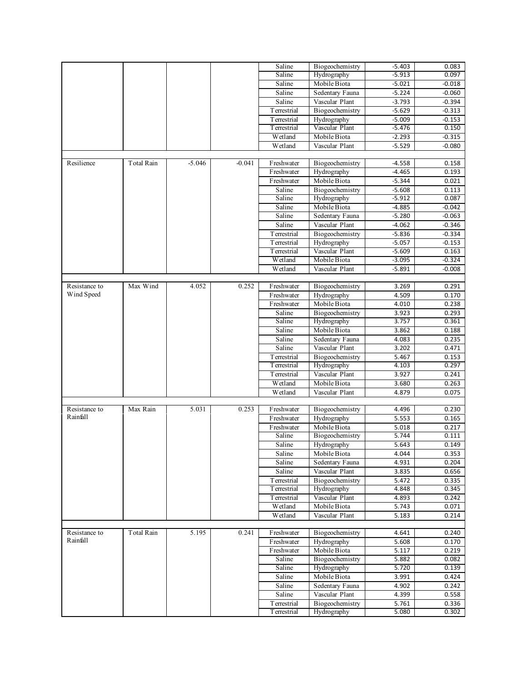|                           |            |          |          | Saline               | Biogeochemistry                 | $-5.403$       | 0.083          |
|---------------------------|------------|----------|----------|----------------------|---------------------------------|----------------|----------------|
|                           |            |          |          | Saline               | Hydrography                     | $-5.913$       | 0.097          |
|                           |            |          |          | Saline               | Mobile Biota                    | $-5.021$       | $-0.018$       |
|                           |            |          |          | Saline               | Sedentary Fauna                 | $-5.224$       | $-0.060$       |
|                           |            |          |          | Saline               | Vascular Plant                  | $-3.793$       | -0.394         |
|                           |            |          |          | Terrestrial          | Biogeochemistry                 | $-5.629$       | $-0.313$       |
|                           |            |          |          | Terrestrial          | Hydrography                     | $-5.009$       | $-0.153$       |
|                           |            |          |          | Terrestrial          | Vascular Plant                  | $-5.476$       | 0.150          |
|                           |            |          |          | Wetland              | Mobile Biota                    | $-2.293$       | $-0.315$       |
|                           |            |          |          | Wetland              | Vascular Plant                  | $-5.529$       | $-0.080$       |
|                           |            |          |          |                      |                                 |                |                |
| Resilience                | Total Rain | $-5.046$ | $-0.041$ | Freshwater           | Biogeochemistry                 | $-4.558$       | 0.158          |
|                           |            |          |          | Freshwater           | Hydrography                     | $-4.465$       | 0.193          |
|                           |            |          |          | Freshwater           | Mobile Biota                    | $-5.344$       | 0.021          |
|                           |            |          |          | Saline               | Biogeochemistry                 | $-5.608$       | 0.113          |
|                           |            |          |          | Saline               | Hydrography                     | $-5.912$       | 0.087          |
|                           |            |          |          | Saline               | Mobile Biota                    | -4.885         | -0.042         |
|                           |            |          |          | Saline               | Sedentary Fauna                 | $-5.280$       | $-0.063$       |
|                           |            |          |          | Saline               | Vascular Plant                  | $-4.062$       | -0.346         |
|                           |            |          |          | Terrestrial          | Biogeochemistry                 | $-5.836$       | $-0.334$       |
|                           |            |          |          | Terrestrial          | Hydrography                     | $-5.057$       | $-0.153$       |
|                           |            |          |          | Terrestrial          | Vascular Plant                  | $-5.609$       | 0.163          |
|                           |            |          |          | Wetland              | Mobile Biota                    | $-3.095$       | $-0.324$       |
|                           |            |          |          | Wetland              | Vascular Plant                  | $-5.891$       | $-0.008$       |
|                           |            |          |          |                      |                                 |                |                |
| Resistance to             | Max Wind   | 4.052    | 0.252    | Freshwater           | Biogeochemistry                 | 3.269          | 0.291          |
| Wind Speed                |            |          |          | Freshwater           | Hydrography                     | 4.509          | 0.170          |
|                           |            |          |          | Freshwater           | Mobile Biota                    | 4.010          | 0.238          |
|                           |            |          |          | Saline               | Biogeochemistry                 | 3.923          | 0.293          |
|                           |            |          |          | Saline               | Hydrography                     | 3.757          | 0.361          |
|                           |            |          |          | Saline               | Mobile Biota                    | 3.862          | 0.188          |
|                           |            |          |          | Saline               | Sedentary Fauna                 | 4.083          | 0.235          |
|                           |            |          |          | Saline               | Vascular Plant                  | 3.202          | 0.471          |
|                           |            |          |          | Terrestrial          | Biogeochemistry                 | 5.467          | 0.153          |
|                           |            |          |          | Terrestrial          | Hydrography                     | 4.103          | 0.297          |
|                           |            |          |          | Terrestrial          | Vascular Plant                  |                | 0.241          |
|                           |            |          |          | Wetland              | Mobile Biota                    | 3.927          |                |
|                           |            |          |          |                      |                                 | 3.680          | 0.263          |
|                           |            |          |          | Wetland              | Vascular Plant                  | 4.879          | 0.075          |
| Resistance to             | Max Rain   | 5.031    | 0.253    | Freshwater           | Biogeochemistry                 | 4.496          | 0.230          |
| Rainfall                  |            |          |          |                      |                                 | 5.553          |                |
|                           |            |          |          | Freshwater           | Hydrography                     |                | 0.165          |
|                           |            |          |          | Freshwater<br>Saline | Mobile Biota<br>Biogeochemistry | 5.018<br>5.744 | 0.217<br>0.111 |
|                           |            |          |          |                      |                                 | 5.643          | 0.149          |
|                           |            |          |          | Saline               | Hydrography                     |                |                |
|                           |            |          |          | Saline               | Mobile Biota                    | 4.044          | 0.353          |
|                           |            |          |          | Saline               | Sedentary Fauna                 | 4.931          | 0.204          |
|                           |            |          |          | Saline               | Vascular Plant                  | 3.835          | 0.656          |
|                           |            |          |          | <b>Terrestrial</b>   | Biogeochemistry                 | 5.472          | 0.335          |
|                           |            |          |          | Terrestrial          | Hydrography                     | 4.848          | 0.345          |
|                           |            |          |          | <b>Terrestrial</b>   | Vascular Plant                  | 4.893          | 0.242          |
|                           |            |          |          | Wetland              | Mobile Biota                    | 5.743          | 0.071          |
|                           |            |          |          | Wetland              | Vascular Plant                  | 5.183          | 0.214          |
|                           |            |          |          |                      |                                 |                |                |
| Resistance to<br>Rainfall | Total Rain | 5.195    | 0.241    | Freshwater           | Biogeochemistry                 | 4.641          | 0.240          |
|                           |            |          |          | Freshwater           | Hydrography                     | 5.608          | 0.170          |
|                           |            |          |          | Freshwater           | Mobile Biota                    | 5.117          | 0.219          |
|                           |            |          |          | Saline               | Biogeochemistry                 | 5.882          | 0.082          |
|                           |            |          |          | Saline               | Hydrography                     | 5.720          | 0.139          |
|                           |            |          |          | Saline               | Mobile Biota                    | 3.991          | 0.424          |
|                           |            |          |          | Saline               | Sedentary Fauna                 | 4.902          | 0.242          |
|                           |            |          |          | Saline               | Vascular Plant                  | 4.399          | 0.558          |
|                           |            |          |          | Terrestrial          | Biogeochemistry                 | 5.761          | 0.336          |
|                           |            |          |          | Terrestrial          | Hydrography                     | 5.080          | 0.302          |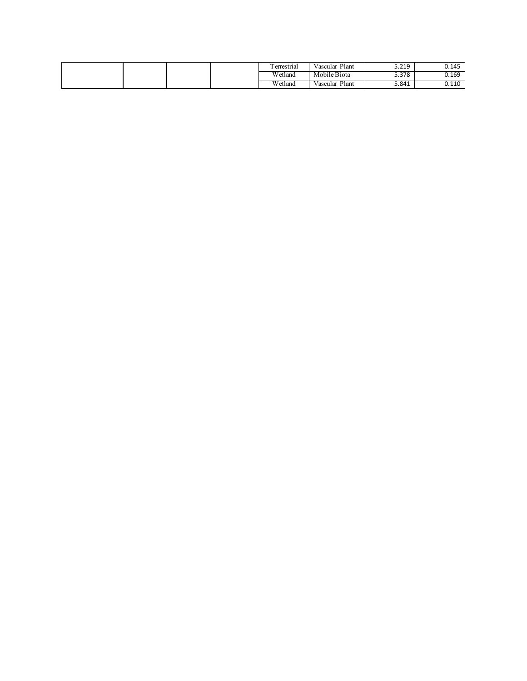| --<br>errestrial       | $\sim$ $\sim$<br>Plant<br>Vascular | <b>C</b> 340<br><b>J.ZIJ</b> | 0.145          |
|------------------------|------------------------------------|------------------------------|----------------|
| <b>YYY</b><br>V etland | Mobile Biota                       | 5.378                        | 0.169          |
| <b>YYY</b><br>√ etland | Plant<br>Vascular                  | 5.841                        | n 110<br>∪.⊥⊥∖ |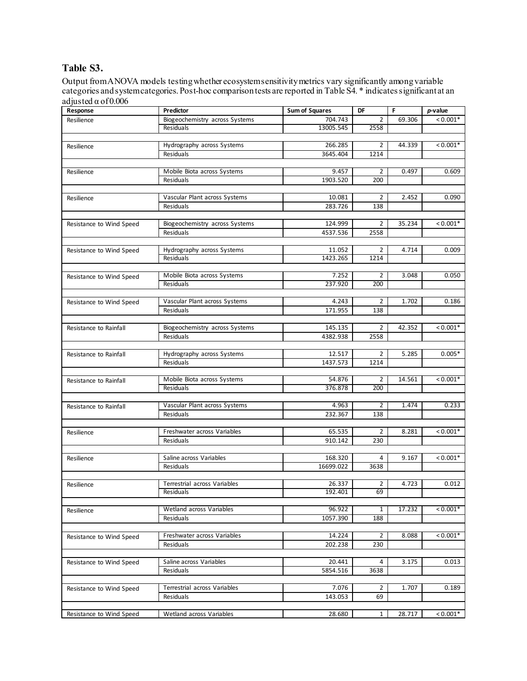# **Table S3.**

Output from ANOVA models testing whether ecosystem sensitivity metrics vary significantly among variable categories and system categories. Post-hoc comparison tests are reported in Table S4. \* indicates significant at an adjusted α of 0.006

| Response                 | Predictor                               | <b>Sum of Squares</b> | DF             | F      | $p$ -value |
|--------------------------|-----------------------------------------|-----------------------|----------------|--------|------------|
| Resilience               | Biogeochemistry across Systems          | 704.743               | $\overline{2}$ | 69.306 | $< 0.001*$ |
|                          | Residuals                               | 13005.545             | 2558           |        |            |
|                          |                                         |                       |                |        |            |
| Resilience               | Hydrography across Systems              | 266.285               | 2              | 44.339 | $< 0.001*$ |
|                          | Residuals                               | 3645.404              | 1214           |        |            |
|                          |                                         |                       |                |        |            |
| Resilience               | Mobile Biota across Systems             | 9.457                 | 2              | 0.497  | 0.609      |
|                          | Residuals                               | 1903.520              | 200            |        |            |
|                          |                                         |                       |                |        |            |
| Resilience               | Vascular Plant across Systems           | 10.081                | 2              | 2.452  | 0.090      |
|                          | Residuals                               | 283.726               | 138            |        |            |
|                          |                                         |                       |                |        |            |
| Resistance to Wind Speed | Biogeochemistry across Systems          | 124.999               | $\overline{2}$ | 35.234 | $0.001*$   |
|                          | Residuals                               | 4537.536              | 2558           |        |            |
|                          |                                         | 11.052                | 2              | 4.714  | 0.009      |
| Resistance to Wind Speed | Hydrography across Systems<br>Residuals | 1423.265              | 1214           |        |            |
|                          |                                         |                       |                |        |            |
| Resistance to Wind Speed | Mobile Biota across Systems             | 7.252                 | 2              | 3.048  | 0.050      |
|                          | Residuals                               | 237.920               | 200            |        |            |
|                          |                                         |                       |                |        |            |
| Resistance to Wind Speed | Vascular Plant across Systems           | 4.243                 | $\overline{2}$ | 1.702  | 0.186      |
|                          | Residuals                               | 171.955               | 138            |        |            |
|                          |                                         |                       |                |        |            |
| Resistance to Rainfall   | Biogeochemistry across Systems          | 145.135               | $\overline{2}$ | 42.352 | $< 0.001*$ |
|                          | Residuals                               | 4382.938              | 2558           |        |            |
|                          |                                         |                       |                |        |            |
| Resistance to Rainfall   | Hydrography across Systems              | 12.517                | $\overline{2}$ | 5.285  | $0.005*$   |
|                          | Residuals                               | 1437.573              | 1214           |        |            |
|                          |                                         |                       |                |        |            |
| Resistance to Rainfall   | Mobile Biota across Systems             | 54.876                | 2              | 14.561 | $< 0.001*$ |
|                          | Residuals                               | 376.878               | 200            |        |            |
|                          |                                         |                       |                |        |            |
| Resistance to Rainfall   | Vascular Plant across Systems           | 4.963                 | 2              | 1.474  | 0.233      |
|                          | Residuals                               | 232.367               | 138            |        |            |
|                          | Freshwater across Variables             | 65.535                | 2              | 8.281  | $0.001*$   |
| Resilience               | Residuals                               | 910.142               | 230            |        |            |
|                          |                                         |                       |                |        |            |
| Resilience               | Saline across Variables                 | 168.320               | 4              | 9.167  | $< 0.001*$ |
|                          | Residuals                               | 16699.022             | 3638           |        |            |
|                          |                                         |                       |                |        |            |
| Resilience               | Terrestrial across Variables            | 26.337                | 2              | 4.723  | 0.012      |
|                          | Residuals                               | 192.401               | 69             |        |            |
|                          |                                         |                       |                |        |            |
| Resilience               | Wetland across Variables                | 96.922                | 1              | 17.232 | $< 0.001*$ |
|                          | Residuals                               | 1057.390              | 188            |        |            |
|                          |                                         |                       |                |        |            |
| Resistance to Wind Speed | Freshwater across Variables             | 14.224                | $\overline{2}$ | 8.088  | $< 0.001*$ |
|                          | Residuals                               | 202.238               | 230            |        |            |
|                          |                                         |                       |                |        |            |
| Resistance to Wind Speed | Saline across Variables                 | 20.441                | 4              | 3.175  | 0.013      |
|                          | Residuals                               | 5854.516              | 3638           |        |            |
|                          |                                         |                       |                |        |            |
| Resistance to Wind Speed | Terrestrial across Variables            | 7.076                 | $\overline{2}$ | 1.707  | 0.189      |
|                          | Residuals                               | 143.053               | 69             |        |            |
|                          |                                         |                       |                |        |            |
| Resistance to Wind Speed | Wetland across Variables                | 28.680                | $\mathbf{1}$   | 28.717 | $0.001*$   |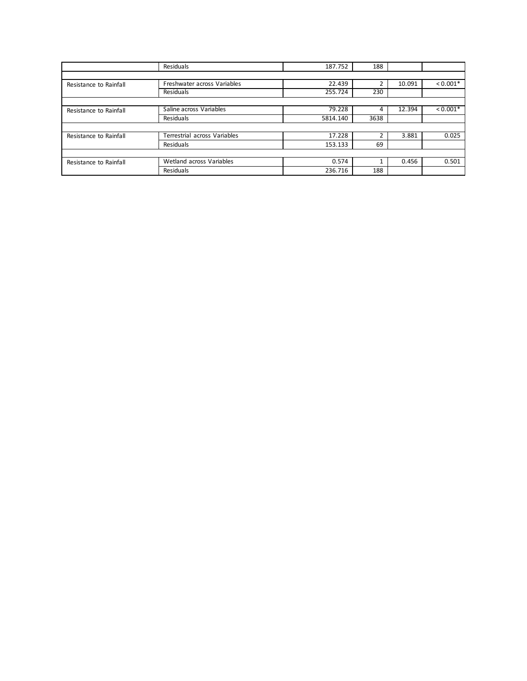|                        | Residuals                    | 187.752  | 188  |        |            |
|------------------------|------------------------------|----------|------|--------|------------|
|                        |                              |          |      |        |            |
| Resistance to Rainfall | Freshwater across Variables  | 22.439   |      | 10.091 | $< 0.001*$ |
|                        | Residuals                    | 255.724  | 230  |        |            |
|                        |                              |          |      |        |            |
| Resistance to Rainfall | Saline across Variables      | 79.228   |      | 12.394 | $< 0.001*$ |
|                        | Residuals                    | 5814.140 | 3638 |        |            |
|                        |                              |          |      |        |            |
| Resistance to Rainfall | Terrestrial across Variables | 17.228   |      | 3.881  | 0.025      |
|                        | Residuals                    | 153.133  | 69   |        |            |
|                        |                              |          |      |        |            |
| Resistance to Rainfall | Wetland across Variables     | 0.574    |      | 0.456  | 0.501      |
|                        | Residuals                    | 236.716  | 188  |        |            |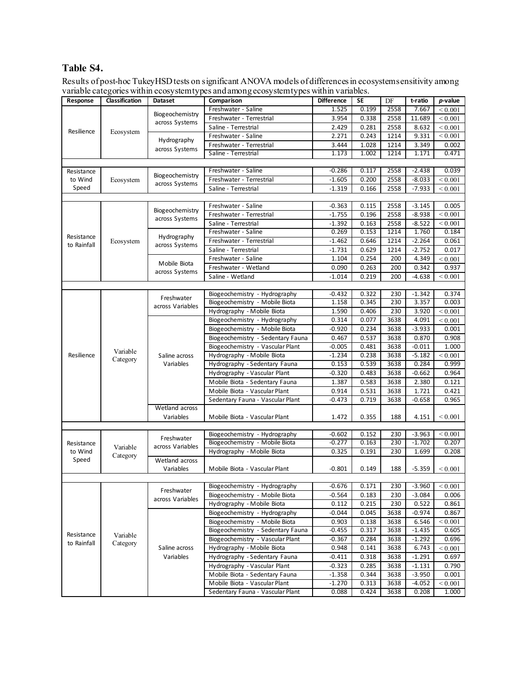# **Table S4.**

Results of post-hoc TukeyHSD tests on significant ANOVA models of differences in ecosystem sensitivity among variable categories within ecosystem types and among ecosystem types within variables.

| Response    | っ<br>Classification | ┙┸<br><b>Dataset</b>           | $\circ$<br>ノ⊥<br>Comparison                                      | <b>Difference</b>                | <b>SE</b> | DF    | t-ratio  | p-value           |       |  |
|-------------|---------------------|--------------------------------|------------------------------------------------------------------|----------------------------------|-----------|-------|----------|-------------------|-------|--|
|             |                     |                                | Freshwater - Saline                                              | 1.525                            | 0.199     | 2558  | 7.667    | < 0.001           |       |  |
|             |                     | Biogeochemistry                | Freshwater - Terrestrial                                         | 3.954                            | 0.338     | 2558  | 11.689   | < 0.001           |       |  |
|             |                     | across Systems                 | Saline - Terrestrial                                             | 2.429                            | 0.281     | 2558  | 8.632    | $\leq 0.001$      |       |  |
| Resilience  | Ecosystem           |                                |                                                                  |                                  |           |       |          |                   |       |  |
|             | Hydrography         | Freshwater - Saline            | 2.271                                                            | 0.243                            | 1214      | 9.331 | < 0.001  |                   |       |  |
|             |                     | across Systems                 | Freshwater - Terrestrial                                         | 3.444                            | 1.028     | 1214  | 3.349    | 0.002             |       |  |
|             |                     |                                | 1.173<br>1.002<br>1214<br>0.471<br>Saline - Terrestrial<br>1.171 |                                  |           |       |          |                   |       |  |
|             |                     |                                |                                                                  |                                  |           |       |          |                   |       |  |
| Resistance  |                     | Biogeochemistry                | Freshwater - Saline                                              | $-0.286$                         | 0.117     | 2558  | $-2.438$ | 0.039             |       |  |
| to Wind     | Ecosystem           | across Systems                 | Freshwater - Terrestrial                                         | $-1.605$                         | 0.200     | 2558  | $-8.033$ | < 0.001           |       |  |
| Speed       |                     |                                | Saline - Terrestrial                                             | $-1.319$                         | 0.166     | 2558  | $-7.933$ | < 0.001           |       |  |
|             |                     |                                |                                                                  |                                  |           |       |          |                   |       |  |
|             |                     | Biogeochemistry                | Freshwater - Saline                                              | $-0.363$                         | 0.115     | 2558  | $-3.145$ | 0.005             |       |  |
|             |                     | across Systems                 | Freshwater - Terrestrial                                         | $-1.755$                         | 0.196     | 2558  | $-8.938$ | ${}_{0.001}$      |       |  |
|             |                     |                                | Saline - Terrestrial                                             | $-1.392$                         | 0.163     | 2558  | $-8.522$ | ${}_{0.001}$      |       |  |
| Resistance  |                     | Hydrography                    | Freshwater - Saline                                              | 0.269                            | 0.153     | 1214  | 1.760    | 0.184             |       |  |
| to Rainfall | Ecosystem           | across Systems                 | Freshwater - Terrestrial                                         | $-1.462$                         | 0.646     | 1214  | $-2.264$ | 0.061             |       |  |
|             |                     |                                | Saline - Terrestrial                                             | $-1.731$                         | 0.629     | 1214  | $-2.752$ | 0.017             |       |  |
|             |                     | Mobile Biota                   | Freshwater - Saline                                              | 1.104                            | 0.254     | 200   | 4.349    | < 0.001           |       |  |
|             |                     | across Systems                 | Freshwater - Wetland                                             | 0.090                            | 0.263     | 200   | 0.342    | 0.937             |       |  |
|             |                     |                                | Saline - Wetland                                                 | $-1.014$                         | 0.219     | 200   | $-4.638$ | ${}_{0.001}$      |       |  |
|             |                     |                                |                                                                  |                                  |           |       |          |                   |       |  |
|             |                     | Freshwater<br>across Variables | Biogeochemistry - Hydrography                                    | $-0.432$                         | 0.322     | 230   | $-1.342$ | 0.374             |       |  |
|             |                     |                                | Biogeochemistry - Mobile Biota                                   | 1.158                            | 0.345     | 230   | 3.357    | 0.003             |       |  |
|             |                     |                                | Hydrography - Mobile Biota                                       | 1.590                            | 0.406     | 230   | 3.920    | < 0.001           |       |  |
|             |                     | Saline across<br>Variables     | Biogeochemistry - Hydrography                                    | 0.314                            | 0.077     | 3638  | 4.091    | $\leq 0.001$      |       |  |
|             |                     |                                | Biogeochemistry - Mobile Biota                                   | $-0.920$                         | 0.234     | 3638  | $-3.933$ | 0.001             |       |  |
|             |                     |                                | Biogeochemistry - Sedentary Fauna                                | 0.467                            | 0.537     | 3638  | 0.870    | 0.908             |       |  |
|             |                     |                                | Biogeochemistry - Vascular Plant                                 | $-0.005$                         | 0.481     | 3638  | $-0.011$ | 1.000             |       |  |
| Resilience  | Variable            |                                | Hydrography - Mobile Biota                                       | $-1.234$                         | 0.238     | 3638  | $-5.182$ | ${}_{0.001}$      |       |  |
|             | Category            |                                | Hydrography - Sedentary Fauna                                    | 0.153                            | 0.539     | 3638  | 0.284    | 0.999             |       |  |
|             |                     |                                | Hydrography - Vascular Plant                                     | $-0.320$                         | 0.483     | 3638  | $-0.662$ | 0.964             |       |  |
|             |                     |                                | Mobile Biota - Sedentary Fauna                                   | 1.387                            | 0.583     | 3638  | 2.380    | 0.121             |       |  |
|             |                     |                                | Mobile Biota - Vascular Plant                                    | 0.914                            | 0.531     | 3638  | 1.721    | 0.421             |       |  |
|             |                     |                                | Sedentary Fauna - Vascular Plant                                 | $-0.473$                         | 0.719     | 3638  | $-0.658$ | 0.965             |       |  |
|             |                     | Wetland across                 |                                                                  |                                  |           |       |          |                   |       |  |
|             |                     | Variables                      | Mobile Biota - Vascular Plant                                    | 1.472                            | 0.355     | 188   | 4.151    | < 0.001           |       |  |
|             |                     |                                |                                                                  |                                  |           |       |          |                   |       |  |
|             |                     |                                | Biogeochemistry - Hydrography                                    | $-0.602$                         | 0.152     | 230   | $-3.963$ | < 0.001           |       |  |
| Resistance  |                     | Freshwater                     | Biogeochemistry - Mobile Biota                                   | $-0.277$                         | 0.163     | 230   | $-1.702$ | 0.207             |       |  |
| to Wind     | Variable            | across Variables               | Hydrography - Mobile Biota                                       | 0.325                            | 0.191     | 230   | 1.699    | 0.208             |       |  |
| Speed       | Category            | Wetland across                 |                                                                  |                                  |           |       |          |                   |       |  |
|             |                     | Variables                      | Mobile Biota - Vascular Plant                                    | $-0.801$                         | 0.149     | 188   | $-5.359$ | ${}_{0.001}$      |       |  |
|             |                     |                                |                                                                  |                                  |           |       |          |                   |       |  |
|             |                     |                                | Biogeochemistry - Hydrography                                    | $-0.676$                         | 0.171     | 230   | $-3.960$ | ${}< 0.001$       |       |  |
|             |                     | Freshwater<br>across Variables | Biogeochemistry - Mobile Biota                                   | $-0.564$                         | 0.183     | 230   | $-3.084$ | 0.006             |       |  |
|             |                     |                                | Hydrography - Mobile Biota                                       | 0.112                            | 0.215     | 230   | 0.522    | 0.861             |       |  |
|             |                     |                                | Biogeochemistry - Hydrography                                    | $-0.044$                         | 0.045     | 3638  | $-0.974$ | 0.867             |       |  |
|             |                     |                                | Biogeochemistry - Mobile Biota                                   | 0.903                            | 0.138     | 3638  | 6.546    | ${}_{\leq 0.001}$ |       |  |
|             |                     |                                | Biogeochemistry - Sedentary Fauna                                | $-0.455$                         | 0.317     | 3638  | $-1.435$ | 0.605             |       |  |
| Resistance  | Variable            |                                | Biogeochemistry - Vascular Plant                                 | $-0.367$                         | 0.284     | 3638  | $-1.292$ | 0.696             |       |  |
| to Rainfall | Category            | Saline across                  | Hydrography - Mobile Biota                                       | 0.948                            | 0.141     | 3638  | 6.743    |                   |       |  |
|             |                     |                                |                                                                  |                                  |           |       |          | < 0.001           |       |  |
|             |                     | Variables                      | Hydrography - Sedentary Fauna                                    | $-0.411$                         | 0.318     | 3638  | $-1.291$ | 0.697             |       |  |
|             |                     |                                | Hydrography - Vascular Plant                                     | $-0.323$                         | 0.285     | 3638  | $-1.131$ | 0.790             |       |  |
|             |                     |                                | Mobile Biota - Sedentary Fauna                                   | $-1.358$                         | 0.344     | 3638  | $-3.950$ | 0.001             |       |  |
|             |                     |                                | Mobile Biota - Vascular Plant                                    | $-1.270$                         | 0.313     | 3638  | -4.052   | ${}_{0.001}$      |       |  |
|             |                     |                                |                                                                  | Sedentary Fauna - Vascular Plant | 0.088     | 0.424 | 3638     | 0.208             | 1.000 |  |